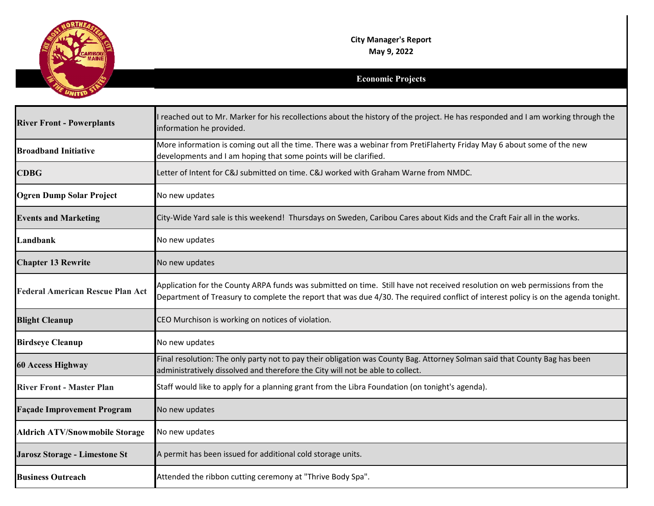

## **Economic Projects**

| <b>River Front - Powerplants</b>        | reached out to Mr. Marker for his recollections about the history of the project. He has responded and I am working through the<br>information he provided.                                                                                                        |
|-----------------------------------------|--------------------------------------------------------------------------------------------------------------------------------------------------------------------------------------------------------------------------------------------------------------------|
| <b>Broadband Initiative</b>             | More information is coming out all the time. There was a webinar from PretiFlaherty Friday May 6 about some of the new<br>developments and I am hoping that some points will be clarified.                                                                         |
| <b>CDBG</b>                             | Letter of Intent for C&J submitted on time. C&J worked with Graham Warne from NMDC.                                                                                                                                                                                |
| <b>Ogren Dump Solar Project</b>         | No new updates                                                                                                                                                                                                                                                     |
| <b>Events and Marketing</b>             | City-Wide Yard sale is this weekend! Thursdays on Sweden, Caribou Cares about Kids and the Craft Fair all in the works.                                                                                                                                            |
| Landbank                                | No new updates                                                                                                                                                                                                                                                     |
| <b>Chapter 13 Rewrite</b>               | No new updates                                                                                                                                                                                                                                                     |
| <b>Federal American Rescue Plan Act</b> | Application for the County ARPA funds was submitted on time. Still have not received resolution on web permissions from the<br>Department of Treasury to complete the report that was due 4/30. The required conflict of interest policy is on the agenda tonight. |
| <b>Blight Cleanup</b>                   | CEO Murchison is working on notices of violation.                                                                                                                                                                                                                  |
| <b>Birdseye Cleanup</b>                 | No new updates                                                                                                                                                                                                                                                     |
| <b>60 Access Highway</b>                | Final resolution: The only party not to pay their obligation was County Bag. Attorney Solman said that County Bag has been<br>administratively dissolved and therefore the City will not be able to collect.                                                       |
| <b>River Front - Master Plan</b>        | Staff would like to apply for a planning grant from the Libra Foundation (on tonight's agenda).                                                                                                                                                                    |
| <b>Façade Improvement Program</b>       | No new updates                                                                                                                                                                                                                                                     |
| <b>Aldrich ATV/Snowmobile Storage</b>   | No new updates                                                                                                                                                                                                                                                     |
| Jarosz Storage - Limestone St           | A permit has been issued for additional cold storage units.                                                                                                                                                                                                        |
| <b>Business Outreach</b>                | Attended the ribbon cutting ceremony at "Thrive Body Spa".                                                                                                                                                                                                         |